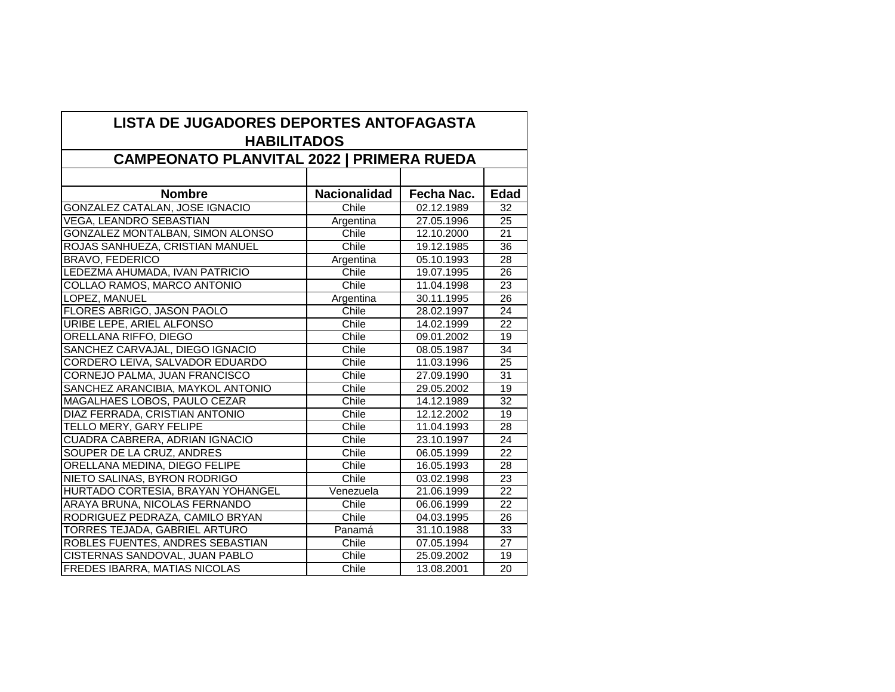| LISTA DE JUGADORES DEPORTES ANTOFAGASTA<br><b>HABILITADOS</b><br><b>CAMPEONATO PLANVITAL 2022   PRIMERA RUEDA</b> |                     |            |                 |  |
|-------------------------------------------------------------------------------------------------------------------|---------------------|------------|-----------------|--|
|                                                                                                                   |                     |            |                 |  |
| <b>Nombre</b>                                                                                                     | <b>Nacionalidad</b> | Fecha Nac. | <b>Edad</b>     |  |
| <b>GONZALEZ CATALAN, JOSE IGNACIO</b>                                                                             | Chile               | 02.12.1989 | 32              |  |
| <b>VEGA, LEANDRO SEBASTIAN</b>                                                                                    | Argentina           | 27.05.1996 | $\overline{25}$ |  |
| <b>GONZALEZ MONTALBAN, SIMON ALONSO</b>                                                                           | Chile               | 12.10.2000 | $\overline{21}$ |  |
| ROJAS SANHUEZA, CRISTIAN MANUEL                                                                                   | Chile               | 19.12.1985 | $\overline{36}$ |  |
| <b>BRAVO, FEDERICO</b>                                                                                            | Argentina           | 05.10.1993 | 28              |  |
| LEDEZMA AHUMADA, IVAN PATRICIO                                                                                    | Chile               | 19.07.1995 | 26              |  |
| COLLAO RAMOS, MARCO ANTONIO                                                                                       | Chile               | 11.04.1998 | 23              |  |
| LOPEZ, MANUEL                                                                                                     | Argentina           | 30.11.1995 | 26              |  |
| FLORES ABRIGO, JASON PAOLO                                                                                        | Chile               | 28.02.1997 | 24              |  |
| URIBE LEPE, ARIEL ALFONSO                                                                                         | Chile               | 14.02.1999 | $\overline{22}$ |  |
| ORELLANA RIFFO, DIEGO                                                                                             | Chile               | 09.01.2002 | 19              |  |
| SANCHEZ CARVAJAL, DIEGO IGNACIO                                                                                   | Chile               | 08.05.1987 | $\overline{34}$ |  |
| CORDERO LEIVA, SALVADOR EDUARDO                                                                                   | Chile               | 11.03.1996 | $\overline{25}$ |  |
| CORNEJO PALMA, JUAN FRANCISCO                                                                                     | Chile               | 27.09.1990 | $\overline{31}$ |  |
| SANCHEZ ARANCIBIA, MAYKOL ANTONIO                                                                                 | Chile               | 29.05.2002 | 19              |  |
| MAGALHAES LOBOS, PAULO CEZAR                                                                                      | Chile               | 14.12.1989 | $\overline{32}$ |  |
| DIAZ FERRADA, CRISTIAN ANTONIO                                                                                    | Chile               | 12.12.2002 | 19              |  |
| TELLO MERY, GARY FELIPE                                                                                           | Chile               | 11.04.1993 | $\overline{28}$ |  |
| CUADRA CABRERA, ADRIAN IGNACIO                                                                                    | Chile               | 23.10.1997 | 24              |  |
| SOUPER DE LA CRUZ, ANDRES                                                                                         | Chile               | 06.05.1999 | 22              |  |
| ORELLANA MEDINA, DIEGO FELIPE                                                                                     | Chile               | 16.05.1993 | 28              |  |
| NIETO SALINAS, BYRON RODRIGO                                                                                      | Chile               | 03.02.1998 | 23              |  |
| HURTADO CORTESIA, BRAYAN YOHANGEL                                                                                 | Venezuela           | 21.06.1999 | 22              |  |
| ARAYA BRUNA, NICOLAS FERNANDO                                                                                     | Chile               | 06.06.1999 | $\overline{22}$ |  |
| RODRIGUEZ PEDRAZA, CAMILO BRYAN                                                                                   | Chile               | 04.03.1995 | 26              |  |
| <b>TORRES TEJADA, GABRIEL ARTURO</b>                                                                              | Panamá              | 31.10.1988 | 33              |  |
| ROBLES FUENTES, ANDRES SEBASTIAN                                                                                  | Chile               | 07.05.1994 | 27              |  |
| CISTERNAS SANDOVAL, JUAN PABLO                                                                                    | Chile               | 25.09.2002 | 19              |  |
| <b>FREDES IBARRA, MATIAS NICOLAS</b>                                                                              | Chile               | 13.08.2001 | $\overline{20}$ |  |